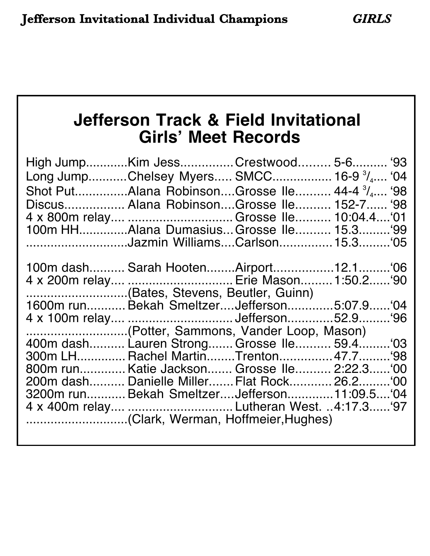# **Jefferson Track & Field Invitational Girls' Meet Records**

| High JumpKim JessCrestwood 5-6 '93<br>Long JumpChelsey Myers SMCC 16-9 <sup>3</sup> / <sub>4</sub> '04 |  |  |
|--------------------------------------------------------------------------------------------------------|--|--|
|                                                                                                        |  |  |
| Discus Alana RobinsonGrosse Ile 152-7 '98                                                              |  |  |
|                                                                                                        |  |  |
| 100m HHAlana DumasiusGrosse Ile 15.3 '99                                                               |  |  |
|                                                                                                        |  |  |
|                                                                                                        |  |  |
|                                                                                                        |  |  |
| 4 x 200m relay  Erie Mason 1:50.2 '90                                                                  |  |  |
| (Bates, Stevens, Beutler, Guinn)                                                                       |  |  |
| 1600m run Bekah Smeltzer Jefferson5:07.9'04                                                            |  |  |
|                                                                                                        |  |  |
| (Potter, Sammons, Vander Loop, Mason)                                                                  |  |  |
| 400m dash Lauren Strong Grosse Ile 59.4 '03                                                            |  |  |
| 300m LH Rachel MartinTrenton 47.7 '98                                                                  |  |  |
| 800m run Katie Jackson Grosse Ile 2:22.3 '00                                                           |  |  |
| 200m dash Danielle Miller Flat Rock 26.2 '00                                                           |  |  |
| 3200m run Bekah SmeltzerJefferson11:09.5'04                                                            |  |  |
|                                                                                                        |  |  |
|                                                                                                        |  |  |
|                                                                                                        |  |  |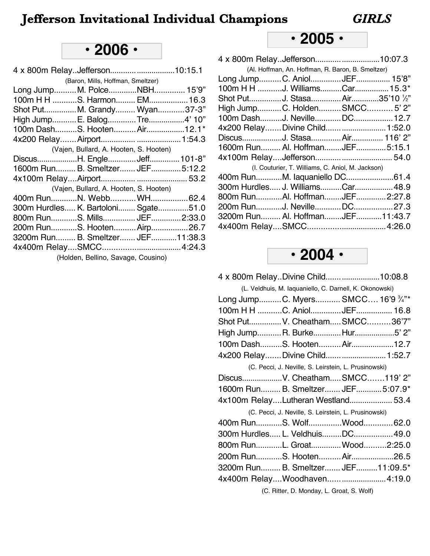# **• 2006 •**

|                                     | (Baron, Mills, Hoffman, Smeltzer)      |  |
|-------------------------------------|----------------------------------------|--|
| Long JumpM. PolceNBH 15'9"          |                                        |  |
| 100m H H S. Harmon EM 16.3          |                                        |  |
| Shot PutM. Grandy Wyan37-3"         |                                        |  |
| High JumpE. BalogTre4' 10"          |                                        |  |
| 100m DashS. HootenAir12.1*          |                                        |  |
|                                     |                                        |  |
|                                     | (Vajen, Bullard, A. Hooten, S. Hooten) |  |
| DiscusH. EngleJeff 101-8"           |                                        |  |
| 1600m Run B. Smeltzer JEF 5:12.2    |                                        |  |
|                                     |                                        |  |
|                                     | (Vajen, Bullard, A. Hooten, S. Hooten) |  |
| 400m RunN. WebbWH 62.4              |                                        |  |
| 300m Hurdles K. Bartoloni Sgate51.0 |                                        |  |
| 800m RunS. Mills JEF 2:33.0         |                                        |  |
| 200m RunS. Hooten Airp 26.7         |                                        |  |
| 3200m Run B. Smeltzer JEF 11:38.3   |                                        |  |
|                                     |                                        |  |
|                                     | (Holden, Bellino, Savage, Cousino)     |  |
|                                     |                                        |  |

# **• 2005 •**

| 4 x 800m RelayJefferson10:07.3                    |  |
|---------------------------------------------------|--|
| (Al. Hoffman, An. Hoffman, R. Baron, B. Smeltzer) |  |
| Long JumpC. AniolJEF 15'8"                        |  |
| 100m H H J. WilliamsCar 15.3*                     |  |
| Shot PutJ. StasaAir35'10 1/2"                     |  |
| High JumpC. HoldenSMCC5' 2"                       |  |
| 100m DashJ. NevilleDC 12.7                        |  |
| 4x200 RelayDivine Child  1:52.0                   |  |
| DiscusJ. Stasa Air 116' 2"                        |  |
| 1600m Run Al. HoffmanJEF5:15.1                    |  |
|                                                   |  |
| (I. Couturier, T. Williams, C. Aniol, M. Jackson) |  |
| 400m RunM. laquaniello DC61.4                     |  |
| 300m Hurdles J. WilliamsCar 48.9                  |  |
| 800m RunAl. HoffmanJEF2:27.8                      |  |
| 200m RunJ. NevilleDC27.3                          |  |
| 3200m Run Al. HoffmanJEF11:43.7                   |  |
|                                                   |  |
|                                                   |  |



| 4 x 800m Relay. Divine Child 10:08.8                    |  |
|---------------------------------------------------------|--|
| (L. Veldhuis, M. laquaniello, C. Darnell, K. Okonowski) |  |
| Long JumpC. Myers SMCC 16'9 3/4"*                       |  |
| 100m H H C. AniolJEF 16.8                               |  |
| Shot PutV. CheathamSMCC36'7"                            |  |
| High JumpR. BurkeHur5' 2"                               |  |
| 100m DashS. Hooten Air12.7                              |  |
| 4x200 Relay Divine Child  1:52.7                        |  |
| (C. Pecci, J. Neville, S. Leirstein, L. Prusinowski)    |  |
| DiscusV. Cheatham SMCC119' 2"                           |  |
| 1600m Run B. Smeltzer JEF 5:07.9*                       |  |
| 4x100m RelayLutheran Westland 53.4                      |  |
| (C. Pecci, J. Neville, S. Leirstein, L. Prusinowski)    |  |
| 400m RunS. WolfWood 62.0                                |  |
| 300m Hurdles L. VeldhuisDC 49.0                         |  |
| 800m RunL. Groat Wood2:25.0                             |  |
| 200m RunS. Hooten Air26.5                               |  |
| 3200m Run B. Smeltzer JEF 11:09.5*                      |  |
| 4x400m RelayWoodhaven4:19.0                             |  |
| (C. Ritter, D. Monday, L. Groat, S. Wolf)               |  |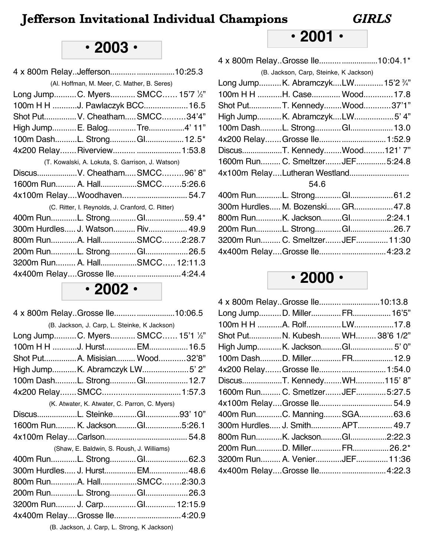## **• 2001 •**

| 4 x 800m RelayGrosse Ile10:04.1*  |                                        |  |
|-----------------------------------|----------------------------------------|--|
|                                   | (B. Jackson, Carp, Steinke, K Jackson) |  |
| Long JumpK. AbramczykLW 15'2 3/4" |                                        |  |
| 100m H H H. Case Wood 17.8        |                                        |  |
| Shot PutT. KennedyWood37'1"       |                                        |  |
| High JumpK. AbramczykLW5' 4"      |                                        |  |
| 100m DashL. Strong Gl 13.0        |                                        |  |
| 4x200 Relay Grosse Ile 1:52.9     |                                        |  |
| DiscusT. KennedyWood121'7"        |                                        |  |
| 1600m Run C. Smeltzer JEF 5:24.8  |                                        |  |
| 4x100m RelayLutheran Westland     |                                        |  |
|                                   | 54.6                                   |  |
|                                   |                                        |  |
| 300m Hurdles M. Bozenski GR 47.8  |                                        |  |
| 800m RunK. JacksonGl2:24.1        |                                        |  |
| 200m RunL. StrongGl26.7           |                                        |  |
| 3200m Run C. SmeltzerJEF 11:30    |                                        |  |
| 4x400m RelayGrosse Ile4:23.2      |                                        |  |
|                                   |                                        |  |

### **• 2000 •**

| 4 x 800m Relay. Grosse Ile10:13.8 |  |
|-----------------------------------|--|
| Long JumpD. MillerFR 16'5"        |  |
| 100m H H A. RolfLW17.8            |  |
| Shot PutN. Kubesh WH 38'6 1/2"    |  |
| High JumpK. JacksonGl 5' 0"       |  |
| 100m DashD. MillerFR 12.9         |  |
| 4x200 Relay Grosse Ile 1:54.0     |  |
| DiscusT. KennedyWH115'8"          |  |
| 1600m Run C. SmetIzer JEF 5:27.5  |  |
|                                   |  |
| 400m RunC. Manning SGA 63.6       |  |
| 300m Hurdles J. Smith APT 49.7    |  |
| 800m RunK. JacksonGl2:22.3        |  |
| 200m RunD. MillerFR26.2*          |  |
| 3200m Run A. VenierJEF 11:36      |  |
| 4x400m RelayGrosse Ile 4:22.3     |  |
|                                   |  |

# **• 2003 •**

| 4 x 800m RelayJefferson10:25.3   |                                                  |  |
|----------------------------------|--------------------------------------------------|--|
|                                  | (Al. Hoffman, M. Meer, C. Mather, B. Seres)      |  |
| Long JumpC. Myers SMCC 15'7 1/2" |                                                  |  |
| 100m H H J. Pawlaczyk BCC 16.5   |                                                  |  |
| Shot Put V. Cheatham SMCC34'4"   |                                                  |  |
| High Jump E. BalogTre4' 11"      |                                                  |  |
| 100m DashL. StrongGl 12.5*       |                                                  |  |
| 4x200 Relay Riverview  1:53.8    |                                                  |  |
|                                  | (T. Kowalski, A. Lokuta, S. Garrison, J. Watson) |  |
| DiscusV. CheathamSMCC96'8"       |                                                  |  |
| 1600m Run A. HallSMCC5:26.6      |                                                  |  |
| 4x100m RelayWoodhaven 54.7       |                                                  |  |
|                                  | (C. Ritter, I. Reynolds, J. Cranford, C. Ritter) |  |
| 400m RunL. StrongGl59.4*         |                                                  |  |
| 300m Hurdles J. Watson Riv 49.9  |                                                  |  |
| 800m RunA. HallSMCC2:28.7        |                                                  |  |
| 200m RunL. StrongGl26.5          |                                                  |  |
| 3200m Run A. HallSMCC 12:11.3    |                                                  |  |
| 4x400m RelayGrosse Ile 4:24.4    |                                                  |  |
|                                  |                                                  |  |

**• 2002 •**

| 4 x 800m RelayGrosse Ile10:06.5  |                                               |  |
|----------------------------------|-----------------------------------------------|--|
|                                  | (B. Jackson, J. Carp, L. Steinke, K Jackson)  |  |
| Long JumpC. Myers SMCC 15'1 1/2" |                                               |  |
| 100m H H J. Hurst EM 16.5        |                                               |  |
| Shot Put A. Misisian Wood32'8"   |                                               |  |
| High JumpK. Abramczyk LW5' 2"    |                                               |  |
| 100m DashL. Strong Gl 12.7       |                                               |  |
|                                  |                                               |  |
|                                  | (K. Atwater, K. Atwater, C. Parron, C. Myers) |  |
| DiscusL. SteinkeGl93' 10"        |                                               |  |
| 1600m Run K. JacksonGl5:26.1     |                                               |  |
|                                  |                                               |  |
|                                  | (Shaw, E. Baldwin, S. Roush, J. Williams)     |  |
|                                  |                                               |  |
| 300m Hurdles J. Hurst EM 48.6    |                                               |  |
| 800m RunA. HallSMCC2:30.3        |                                               |  |
|                                  |                                               |  |
| 3200m Run J. Carp Gl 12:15.9     |                                               |  |
| 4x400m RelayGrosse Ile 4:20.9    |                                               |  |
|                                  |                                               |  |

(B. Jackson, J. Carp, L. Strong, K Jackson)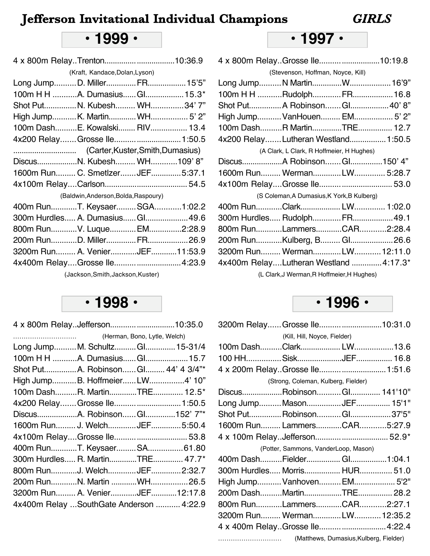## **• 1999 •**

4 x 800m Relay..Trenton.................................10:36.9

| (Kraft, Kandace, Dolan, Lyson)       |  |
|--------------------------------------|--|
| Long JumpD. MillerFR 15'5"           |  |
| 100m H H A. Dumasius Gl 15.3*        |  |
| Shot PutN. Kubesh WH34'7"            |  |
| High JumpK. MartinWH 5' 2"           |  |
| 100m DashE. Kowalski RIV 13.4        |  |
| 4x200 RelayGrosse Ile 1:50.5         |  |
|                                      |  |
| DiscusN. Kubesh WH109'8"             |  |
| 1600m Run C. SmetIzer JEF 5:37.1     |  |
|                                      |  |
| (Baldwin, Anderson, Bolda, Raspoury) |  |
| 400m RunT. KeysaerSGA1:02.2          |  |
| 300m Hurdles A. Dumasius Gl 49.6     |  |
| 800m RunV. LuqueEM2:28.9             |  |
| 200m RunD. MillerFR26.9              |  |
| 3200m Run A. VenierJEF11:53.9        |  |
| 4x400m RelayGrosse Ile4:23.9         |  |
|                                      |  |

(Jackson,Smith,Jackson,Kuster)

### **• 1998 •**

| 4 x 800m RelayJefferson10:35.0           |  |  |
|------------------------------------------|--|--|
|                                          |  |  |
| Long JumpM. SchultzGl 15-31/4            |  |  |
| 100m H H A. Dumasius Gl 15.7             |  |  |
| Shot PutA. RobinsonGl 44' 4 3/4"*        |  |  |
| High JumpB. HoffmeierLW4' 10"            |  |  |
| 100m DashR. MartinTRE 12.5*              |  |  |
| 4x200 Relay Grosse Ile 1:50.5            |  |  |
| DiscusA. RobinsonGl152' 7"*              |  |  |
| 1600m Run J. Welch JEF 5:50.4            |  |  |
|                                          |  |  |
| 400m RunT. KeysaerSA61.80                |  |  |
| 300m Hurdles R. MartinTRE 47.7*          |  |  |
| 800m RunJ. WelchJEF2:32.7                |  |  |
| 200m RunN. Martin WH26.5                 |  |  |
| 3200m Run A. VenierJEF12:17.8            |  |  |
| 4x400m Relay  SouthGate Anderson  4:22.9 |  |  |
|                                          |  |  |

## **• 1997 •**

| 4 x 800m Relay. Grosse Ile10:19.8      |                                            |  |
|----------------------------------------|--------------------------------------------|--|
|                                        | (Stevenson, Hoffman, Noyce, Kill)          |  |
| Long JumpN MartinW 16'9"               |                                            |  |
| 100m H H RudolphFR 16.8                |                                            |  |
| Shot Put A Robinson Gl 40' 8"          |                                            |  |
| High Jump VanHouen EM 5' 2"            |                                            |  |
| 100m DashR MartinTRE 12.7              |                                            |  |
| 4x200 RelayLutheran Westland 1:50.5    |                                            |  |
|                                        | (A Clark, L Clark, R Hoffmeier, H Hughes)  |  |
| DiscusA Robinson Gl150' 4"             |                                            |  |
| 1600m Run WermanLW 5:28.7              |                                            |  |
|                                        |                                            |  |
|                                        | (S Coleman, A Dumasius, K York, B Kulberg) |  |
| 400m RunClark LW 1:02.0                |                                            |  |
| 300m Hurdles Rudolph FR 49.1           |                                            |  |
| 800m RunLammersCAR2:28.4               |                                            |  |
| 200m RunKulberg, B Gl26.6              |                                            |  |
| 3200m Run Werman LW 12:11.0            |                                            |  |
| 4x400m RelayLutheran Westland  4:17.3* |                                            |  |
|                                        | (I. Clark, I Werman B Hoffmeier H Hughes)  |  |

(L Clark,J Werman,R Hoffmeier,H Hughes)

#### **• 1996 •**

|                                 | 3200m Relay Grosse Ile10:31.0        |  |
|---------------------------------|--------------------------------------|--|
|                                 | (Kill, Hill, Noyce, Fielder)         |  |
|                                 |                                      |  |
|                                 |                                      |  |
| 4 x 200m RelayGrosse Ile 1:51.6 |                                      |  |
|                                 | (Strong, Coleman, Kulberg, Fielder)  |  |
| DiscusRobinsonGl 141'10"        |                                      |  |
| Long JumpMasonJEF 15'1"         |                                      |  |
| Shot Put Robinson Gl37'5"       |                                      |  |
| 1600m Run LammersCAR5:27.9      |                                      |  |
|                                 |                                      |  |
|                                 |                                      |  |
|                                 | (Potter, Sammons, VanderLoop, Mason) |  |
| 400m DashFielder Gl1:04.1       |                                      |  |
| 300m Hurdles Morris HUR 51.0    |                                      |  |
| High Jump Vanhoven EM 5'2"      |                                      |  |
| 200m DashMartinTRE 28.2         |                                      |  |
| 800m RunLammersCAR2:27.1        |                                      |  |
| 3200m Run WermanLW 12:35.2      |                                      |  |
| 4 x 400m RelayGrosse Ile 4:22.4 |                                      |  |

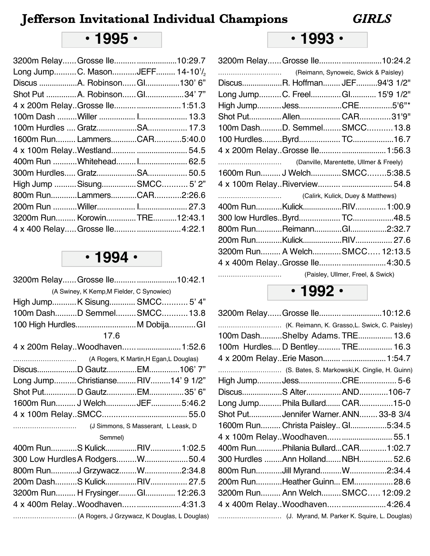# **• 1995 •**

|  | 3200m RelayGrosse Ile10:29.7<br>Long JumpC. MasonJEFF 14-10 <sup>1</sup> / <sub>2</sub><br>Discus A. Robinson Gl130' 6"<br>Shot Put A. Robinson Gl34'7"<br>4 x 200m RelayGrosse Ile 1:51.3<br>1600m Run LammersCAR5:40.0<br>400m Run Whitehead I 62.5<br>High Jump SisungSMCC 5' 2"<br>800m RunLammersCAR2:26.6<br>3200m Run KorowinTRE12:43.1<br>4 x 400 Relay Grosse Ile 4:22.1 |
|--|-----------------------------------------------------------------------------------------------------------------------------------------------------------------------------------------------------------------------------------------------------------------------------------------------------------------------------------------------------------------------------------|

# **• 1994 •**

| 3200m Relay Grosse Ile10:42.1                |  |
|----------------------------------------------|--|
| (A Swiney, K Kemp, M Fielder, C Synowiec)    |  |
| High JumpK Sisung SMCC 5' 4"                 |  |
| 100m DashD SemmelSMCC13.8                    |  |
| 100 High Hurdles M Dobija GI                 |  |
| 17.6                                         |  |
| 4 x 200m RelayWoodhaven 1:52.6               |  |
|                                              |  |
| DiscusD GautzEM106'7"                        |  |
| Long JumpChristianseRIV14' 9 1/2"            |  |
| Shot PutD GautzEM35' 6"                      |  |
| 1600m Run J Welch JEF 5:46.2                 |  |
|                                              |  |
|                                              |  |
| Semmel)                                      |  |
| 400m RunS KulickRIV 1:02.5                   |  |
| 300 Low Hurdles A RodgersW50.4               |  |
| 800m RunJ GrzywaczW2:34.8                    |  |
| 200m DashS KulickRIV 27.5                    |  |
| 3200m Run H Frysinger Gl 12:26.3             |  |
| 4 x 400m RelayWoodhaven4:31.3                |  |
| (A Rogers, J Grzywacz, K Douglas, L Douglas) |  |

## **• 1993 •**

| 3200m Relay Grosse Ile10:24.2   |  |  |
|---------------------------------|--|--|
|                                 |  |  |
| DiscusR. Hoffman JEF94'3 1/2"   |  |  |
| Long JumpC. FreelGl 15'9 1/2"   |  |  |
| High JumpJessCRE5'6"*           |  |  |
| Shot Put Allen CAR31'9"         |  |  |
| 100m DashD. Semmel SMCC 13.8    |  |  |
|                                 |  |  |
| 4 x 200m RelayGrosse Ile 1:56.3 |  |  |
|                                 |  |  |
| 1600m Run J WelchSMCC5:38.5     |  |  |
|                                 |  |  |
|                                 |  |  |
|                                 |  |  |
| 400m RunKulickRIV 1:00.9        |  |  |
|                                 |  |  |
| 800m RunReimannGl2:32.7         |  |  |
|                                 |  |  |
| 3200m Run A WelchSMCC 12:13.5   |  |  |
|                                 |  |  |

#### **• 1992 •**

| 3200m Relay Grosse Ile10:12.6                  |  |
|------------------------------------------------|--|
| (K. Reimann, K. Grasso, L. Swick, C. Paisley)  |  |
| 100m DashShelby Adams. TRE 13.6                |  |
| 100m Hurdles D Bentley TRE 16.3                |  |
| 4 x 200m Relay. Erie Mason  1:54.7             |  |
| (S. Bates, S. Markowski, K. Cinglie, H. Guinn) |  |
|                                                |  |
| DiscusS AlterAND106-7                          |  |
| Long Jump Phila Bullard CAR15-0                |  |
| Shot PutJennifer Warner. ANN 33-8 3/4          |  |
| 1600m Run Christa Paisley Gl5:34.5             |  |
| 4 x 100m RelayWoodhaven 55.1                   |  |
| 400m RunPhilania BullardCAR1:02.7              |  |
| 300 Hurdles Ann HollandNBH 52.6                |  |
| 800m RunJill MyrandW2:34.4                     |  |
| 200m RunHeather Guinn EM 28.6                  |  |
| 3200m Run Ann Welch SMCC 12:09.2               |  |
| 4 x 400m RelayWoodhaven4:26.4                  |  |
|                                                |  |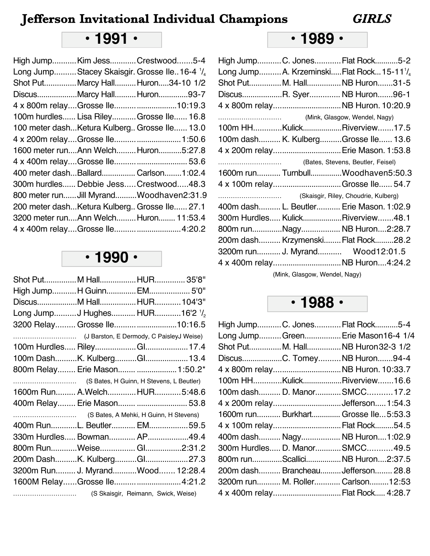# **• 1991 •**

| High JumpKim JessCrestwood5-4                |  |  |
|----------------------------------------------|--|--|
| Long JumpStacey Skaisgir. Grosse Ile16-4 1/4 |  |  |
| Shot PutMarcy HallHuron34-10 1/2             |  |  |
| DiscusMarcy Hall Huron93-7                   |  |  |
| 4 x 800m relayGrosse lle10:19.3              |  |  |
| 100m hurdles Lisa Riley Grosse Ile 16.8      |  |  |
| 100 meter dashKetura Kulberg Grosse Ile 13.0 |  |  |
|                                              |  |  |
| 1600 meter runAnn WelchHuron5:27.8           |  |  |
|                                              |  |  |
| 400 meter dashBallard Carlson1:02.4          |  |  |
| 300m hurdles Debbie Jess Crestwood48.3       |  |  |
| 800 meter run Jill MyrandWoodhaven2:31.9     |  |  |
| 200 meter dashKetura Kulberg Grosse Ile 27.1 |  |  |
| 3200 meter runAnn Welch Huron 11:53.4        |  |  |
|                                              |  |  |

# **• 1990 •**

|  | Shot PutM HallHUR 35'8"<br>High JumpH Guinn EM 5'0"<br>DiscusM HallHUR 104'3"<br>Long JumpJ Hughes HUR16'2 1/2<br>3200 Relay Grosse Ile10:16.5<br>100m DashK. KulbergGl 13.4<br>800m Relay Erie Mason  1:50.2*<br>1600m Run A.WelchHUR5:48.6<br>400m Relay Erie Mason  53.8<br>400m RunL. Beutler EM59.5<br>330m Hurdles Bowman AP49.4<br>800m RunWeise Gl2:31.2<br>200m DashK. KulbergGl27.3<br>3200m Run J. MyrandWood 12:28.4<br>1600M RelayGrosse Ile 4:21.2<br>(S Skaisgir, Reimann, Swick, Weise) |
|--|---------------------------------------------------------------------------------------------------------------------------------------------------------------------------------------------------------------------------------------------------------------------------------------------------------------------------------------------------------------------------------------------------------------------------------------------------------------------------------------------------------|

## **• 1989 •**

|  | High JumpC. JonesFlat Rock5-2                                    |
|--|------------------------------------------------------------------|
|  | Long JumpA. KrzeminskiFlat Rock15-11 <sup>1</sup> / <sub>4</sub> |
|  | Shot PutM. HallNB Huron31-5                                      |
|  | DiscusR. Syer NB Huron96-1                                       |
|  | 4 x 800m relay NB Huron. 10:20.9                                 |
|  |                                                                  |
|  | 100m HHKulickRiverview17.5                                       |
|  | 100m dash K. KulbergGrosse Ile 13.6                              |
|  | 4 x 200m relay Erie Mason. 1:53.8                                |
|  |                                                                  |
|  | 1600m run Turnbull Woodhaven5:50.3                               |
|  | 4 x 100m relayGrosse Ile 54.7                                    |
|  |                                                                  |
|  | 400m dash L. Beutler Erie Mason. 1:02.9                          |
|  | 300m Hurdles Kulick Riverview48.1                                |
|  | 800m runNagy NB Huron2:28.7                                      |
|  | 200m dash Krzymenski Flat Rock28.2                               |
|  | 3200m run J. Myrand Wood12:01.5                                  |
|  | 4 x 400m relayNB Huron4:24.2                                     |
|  |                                                                  |

(Mink, Glasgow, Wendel, Nagy)

### **• 1988 •**

|  | High JumpC. JonesFlat Rock5-4       |
|--|-------------------------------------|
|  | Long JumpGreen Erie Mason16-4 1/4   |
|  | Shot Put M. Hall NB Huron 32-3 1/2  |
|  | DiscusC. TomeyNB Huron94-4          |
|  | 4 x 800m relayNB Huron. 10:33.7     |
|  | 100m HHKulickRiverview16.6          |
|  | 100m dash D. ManorSMCC17.2          |
|  |                                     |
|  | 1600m run Burkhart Grosse Ile5:53.3 |
|  | 4 x 100m relayFlat Rock54.5         |
|  | 400m dash Nagy NB Huron1:02.9       |
|  | 300m Hurdles D. ManorSMCC49.5       |
|  | 800m runScalliciNB Huron2:37.5      |
|  | 200m dash Brancheau Jefferson 28.8  |
|  | 3200m run M. Roller Carlson 12:53   |
|  | 4 x 400m relayFlat Rock 4:28.7      |